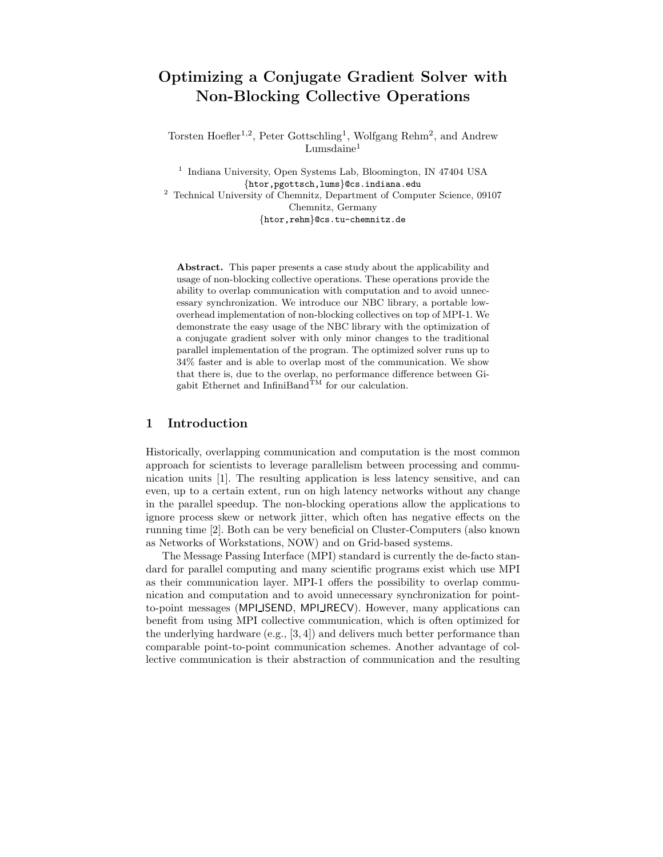# Optimizing a Conjugate Gradient Solver with Non-Blocking Collective Operations

Torsten Hoefler<sup>1,2</sup>, Peter Gottschling<sup>1</sup>, Wolfgang Rehm<sup>2</sup>, and Andrew  $Lumsdaine<sup>1</sup>$ 

<sup>1</sup> Indiana University, Open Systems Lab, Bloomington, IN 47404 USA {htor,pgottsch,lums}@cs.indiana.edu <sup>2</sup> Technical University of Chemnitz, Department of Computer Science, 09107 Chemnitz, Germany {htor,rehm}@cs.tu-chemnitz.de

Abstract. This paper presents a case study about the applicability and usage of non-blocking collective operations. These operations provide the ability to overlap communication with computation and to avoid unnecessary synchronization. We introduce our NBC library, a portable lowoverhead implementation of non-blocking collectives on top of MPI-1. We demonstrate the easy usage of the NBC library with the optimization of a conjugate gradient solver with only minor changes to the traditional parallel implementation of the program. The optimized solver runs up to 34% faster and is able to overlap most of the communication. We show that there is, due to the overlap, no performance difference between Gi-<br>gabit Ethernet and InfiniBand<sup>TM</sup> for our calculation.

## 1 Introduction

Historically, overlapping communication and computation is the most common approach for scientists to leverage parallelism between processing and communication units [1]. The resulting application is less latency sensitive, and can even, up to a certain extent, run on high latency networks without any change in the parallel speedup. The non-blocking operations allow the applications to ignore process skew or network jitter, which often has negative effects on the running time [2]. Both can be very beneficial on Cluster-Computers (also known as Networks of Workstations, NOW) and on Grid-based systems.

The Message Passing Interface (MPI) standard is currently the de-facto standard for parallel computing and many scientific programs exist which use MPI as their communication layer. MPI-1 offers the possibility to overlap communication and computation and to avoid unnecessary synchronization for pointto-point messages (MPI ISEND, MPI IRECV). However, many applications can benefit from using MPI collective communication, which is often optimized for the underlying hardware (e.g., [3, 4]) and delivers much better performance than comparable point-to-point communication schemes. Another advantage of collective communication is their abstraction of communication and the resulting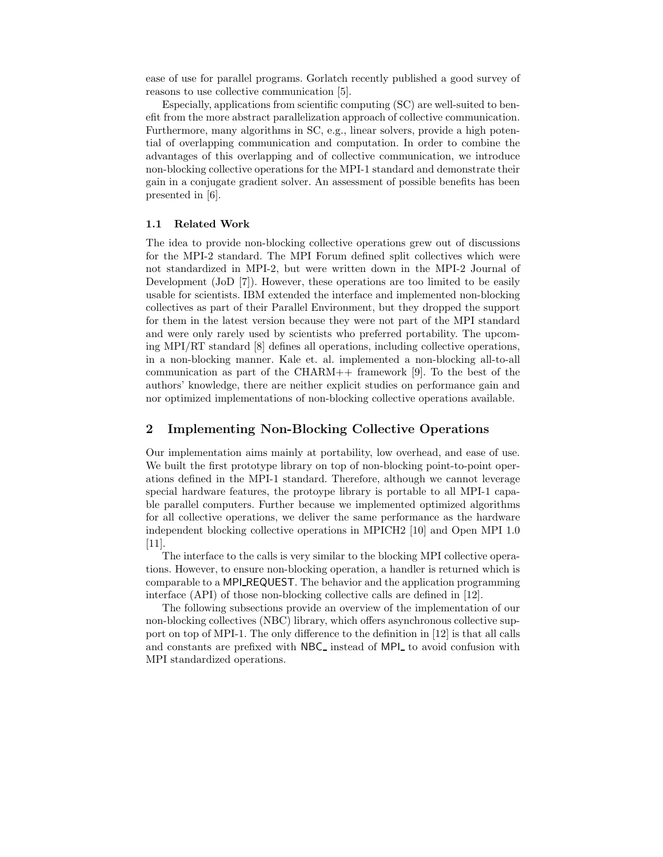ease of use for parallel programs. Gorlatch recently published a good survey of reasons to use collective communication [5].

Especially, applications from scientific computing (SC) are well-suited to benefit from the more abstract parallelization approach of collective communication. Furthermore, many algorithms in SC, e.g., linear solvers, provide a high potential of overlapping communication and computation. In order to combine the advantages of this overlapping and of collective communication, we introduce non-blocking collective operations for the MPI-1 standard and demonstrate their gain in a conjugate gradient solver. An assessment of possible benefits has been presented in [6].

#### 1.1 Related Work

The idea to provide non-blocking collective operations grew out of discussions for the MPI-2 standard. The MPI Forum defined split collectives which were not standardized in MPI-2, but were written down in the MPI-2 Journal of Development (JoD [7]). However, these operations are too limited to be easily usable for scientists. IBM extended the interface and implemented non-blocking collectives as part of their Parallel Environment, but they dropped the support for them in the latest version because they were not part of the MPI standard and were only rarely used by scientists who preferred portability. The upcoming MPI/RT standard [8] defines all operations, including collective operations, in a non-blocking manner. Kale et. al. implemented a non-blocking all-to-all communication as part of the CHARM++ framework [9]. To the best of the authors' knowledge, there are neither explicit studies on performance gain and nor optimized implementations of non-blocking collective operations available.

# 2 Implementing Non-Blocking Collective Operations

Our implementation aims mainly at portability, low overhead, and ease of use. We built the first prototype library on top of non-blocking point-to-point operations defined in the MPI-1 standard. Therefore, although we cannot leverage special hardware features, the protoype library is portable to all MPI-1 capable parallel computers. Further because we implemented optimized algorithms for all collective operations, we deliver the same performance as the hardware independent blocking collective operations in MPICH2 [10] and Open MPI 1.0 [11].

The interface to the calls is very similar to the blocking MPI collective operations. However, to ensure non-blocking operation, a handler is returned which is comparable to a MPI REQUEST. The behavior and the application programming interface (API) of those non-blocking collective calls are defined in [12].

The following subsections provide an overview of the implementation of our non-blocking collectives (NBC) library, which offers asynchronous collective support on top of MPI-1. The only difference to the definition in [12] is that all calls and constants are prefixed with NBC<sub></sub> instead of MPI to avoid confusion with MPI standardized operations.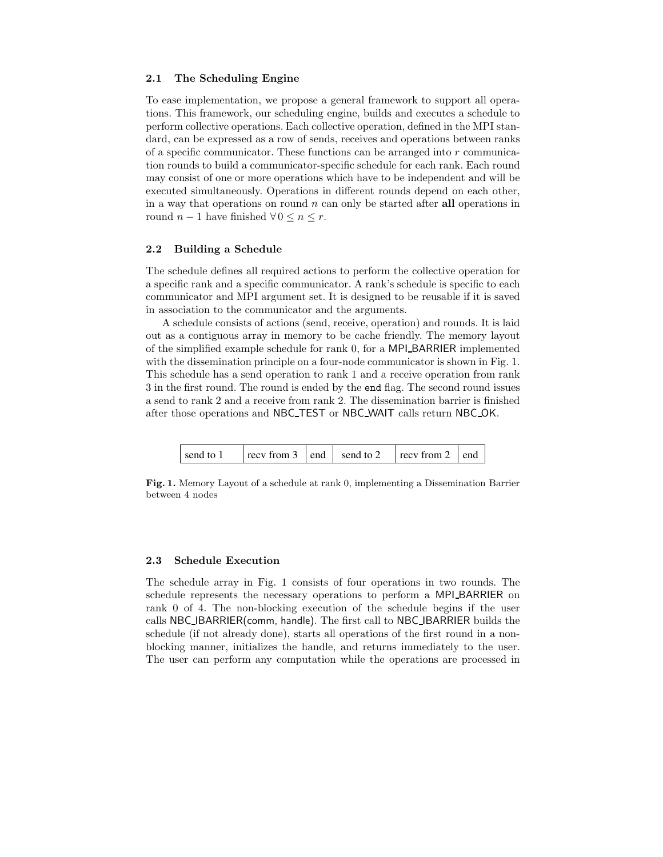#### 2.1 The Scheduling Engine

To ease implementation, we propose a general framework to support all operations. This framework, our scheduling engine, builds and executes a schedule to perform collective operations. Each collective operation, defined in the MPI standard, can be expressed as a row of sends, receives and operations between ranks of a specific communicator. These functions can be arranged into  $r$  communication rounds to build a communicator-specific schedule for each rank. Each round may consist of one or more operations which have to be independent and will be executed simultaneously. Operations in different rounds depend on each other, in a way that operations on round  $n$  can only be started after all operations in round  $n-1$  have finished  $\forall 0 \leq n \leq r$ .

#### 2.2 Building a Schedule

The schedule defines all required actions to perform the collective operation for a specific rank and a specific communicator. A rank's schedule is specific to each communicator and MPI argument set. It is designed to be reusable if it is saved in association to the communicator and the arguments.

A schedule consists of actions (send, receive, operation) and rounds. It is laid out as a contiguous array in memory to be cache friendly. The memory layout of the simplified example schedule for rank 0, for a MPI BARRIER implemented with the dissemination principle on a four-node communicator is shown in Fig. 1. This schedule has a send operation to rank 1 and a receive operation from rank 3 in the first round. The round is ended by the end flag. The second round issues a send to rank 2 and a receive from rank 2. The dissemination barrier is finished after those operations and NBC TEST or NBC WAIT calls return NBC OK.

| $\vert$ recy from 2 $\vert$ end<br>$\vert$ recv from 3 $\vert$ end $\vert$ send to 2<br>send to 1 |
|---------------------------------------------------------------------------------------------------|
|---------------------------------------------------------------------------------------------------|

Fig. 1. Memory Layout of a schedule at rank 0, implementing a Dissemination Barrier between 4 nodes

#### 2.3 Schedule Execution

The schedule array in Fig. 1 consists of four operations in two rounds. The schedule represents the necessary operations to perform a MPI BARRIER on rank 0 of 4. The non-blocking execution of the schedule begins if the user calls NBC IBARRIER(comm, handle). The first call to NBC IBARRIER builds the schedule (if not already done), starts all operations of the first round in a nonblocking manner, initializes the handle, and returns immediately to the user. The user can perform any computation while the operations are processed in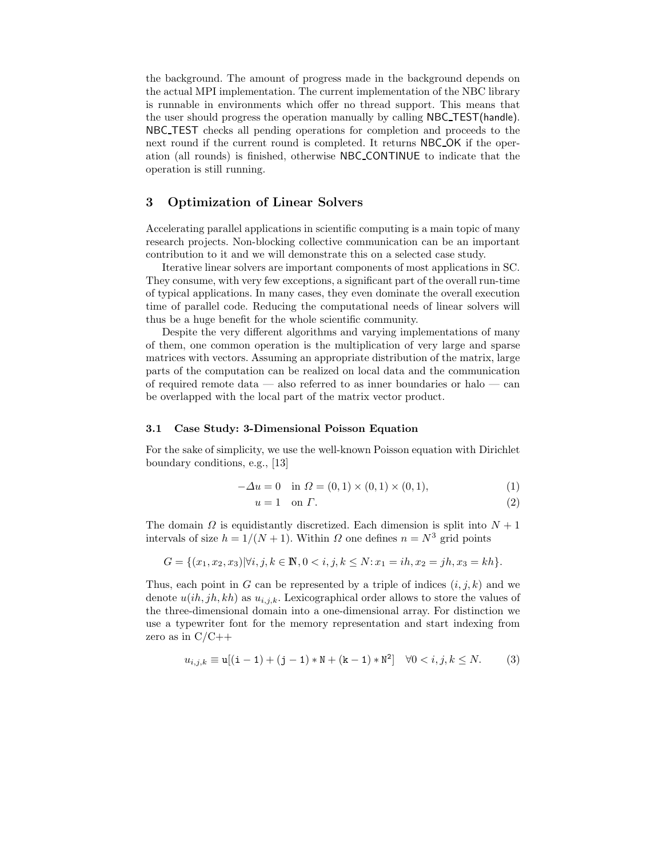the background. The amount of progress made in the background depends on the actual MPI implementation. The current implementation of the NBC library is runnable in environments which offer no thread support. This means that the user should progress the operation manually by calling NBC TEST(handle). NBC TEST checks all pending operations for completion and proceeds to the next round if the current round is completed. It returns NBC OK if the operation (all rounds) is finished, otherwise NBC CONTINUE to indicate that the operation is still running.

## 3 Optimization of Linear Solvers

Accelerating parallel applications in scientific computing is a main topic of many research projects. Non-blocking collective communication can be an important contribution to it and we will demonstrate this on a selected case study.

Iterative linear solvers are important components of most applications in SC. They consume, with very few exceptions, a significant part of the overall run-time of typical applications. In many cases, they even dominate the overall execution time of parallel code. Reducing the computational needs of linear solvers will thus be a huge benefit for the whole scientific community.

Despite the very different algorithms and varying implementations of many of them, one common operation is the multiplication of very large and sparse matrices with vectors. Assuming an appropriate distribution of the matrix, large parts of the computation can be realized on local data and the communication of required remote data — also referred to as inner boundaries or halo — can be overlapped with the local part of the matrix vector product.

#### 3.1 Case Study: 3-Dimensional Poisson Equation

For the sake of simplicity, we use the well-known Poisson equation with Dirichlet boundary conditions, e.g., [13]

$$
-\Delta u = 0 \quad \text{in } \Omega = (0,1) \times (0,1) \times (0,1), \tag{1}
$$

$$
u = 1 \quad \text{on } \Gamma. \tag{2}
$$

The domain  $\Omega$  is equidistantly discretized. Each dimension is split into  $N + 1$ intervals of size  $h = 1/(N + 1)$ . Within  $\Omega$  one defines  $n = N^3$  grid points

$$
G = \{(x_1, x_2, x_3) | \forall i, j, k \in \mathbb{N}, 0 < i, j, k \le N : x_1 = ih, x_2 = jh, x_3 = kh\}.
$$

Thus, each point in G can be represented by a triple of indices  $(i, j, k)$  and we denote  $u(ih, jh, kh)$  as  $u_{i,j,k}$ . Lexicographical order allows to store the values of the three-dimensional domain into a one-dimensional array. For distinction we use a typewriter font for the memory representation and start indexing from zero as in  $C/C++$ 

$$
u_{i,j,k} \equiv \mathbf{u}[(\mathbf{i}-1) + (\mathbf{j}-1) * \mathbf{N} + (\mathbf{k}-1) * \mathbf{N}^2] \quad \forall 0 < i, j, k \le N. \tag{3}
$$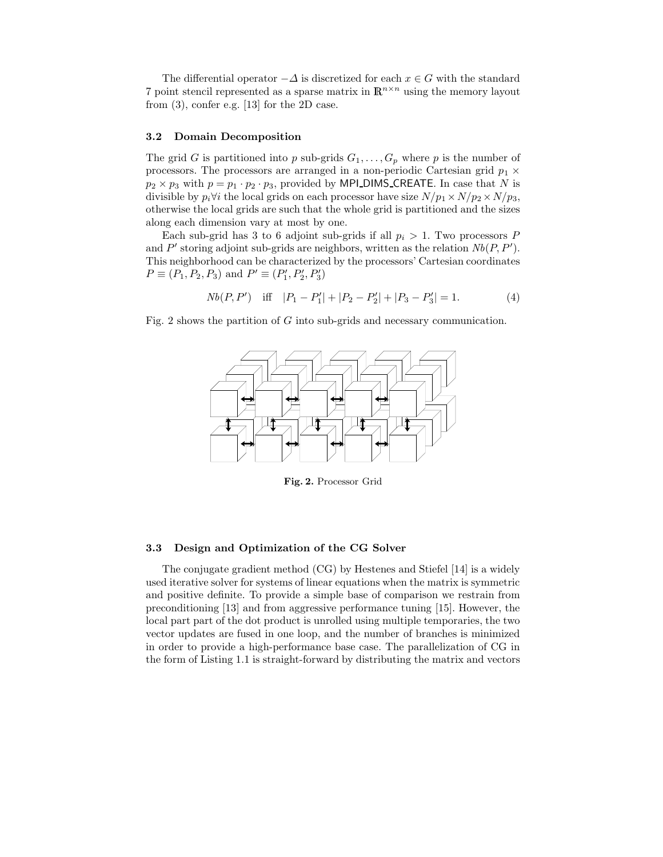The differential operator  $-\Delta$  is discretized for each  $x \in G$  with the standard 7 point stencil represented as a sparse matrix in  $\mathbb{R}^{n \times n}$  using the memory layout from (3), confer e.g. [13] for the 2D case.

#### 3.2 Domain Decomposition

The grid G is partitioned into p sub-grids  $G_1, \ldots, G_p$  where p is the number of processors. The processors are arranged in a non-periodic Cartesian grid  $p_1 \times$  $p_2 \times p_3$  with  $p = p_1 \cdot p_2 \cdot p_3$ , provided by MPI DIMS CREATE. In case that N is divisible by  $p_i \forall i$  the local grids on each processor have size  $N/p_1 \times N/p_2 \times N/p_3$ , otherwise the local grids are such that the whole grid is partitioned and the sizes along each dimension vary at most by one.

Each sub-grid has 3 to 6 adjoint sub-grids if all  $p_i > 1$ . Two processors P and P' storing adjoint sub-grids are neighbors, written as the relation  $Nb(P, P')$ . This neighborhood can be characterized by the processors' Cartesian coordinates  $P \equiv (P_1, P_2, P_3)$  and  $P' \equiv (P'_1, P'_2, P'_3)$ 

$$
Nb(P, P')
$$
 iff  $|P_1 - P'_1| + |P_2 - P'_2| + |P_3 - P'_3| = 1.$  (4)

Fig. 2 shows the partition of  $G$  into sub-grids and necessary communication.



Fig. 2. Processor Grid

#### 3.3 Design and Optimization of the CG Solver

The conjugate gradient method (CG) by Hestenes and Stiefel [14] is a widely used iterative solver for systems of linear equations when the matrix is symmetric and positive definite. To provide a simple base of comparison we restrain from preconditioning [13] and from aggressive performance tuning [15]. However, the local part part of the dot product is unrolled using multiple temporaries, the two vector updates are fused in one loop, and the number of branches is minimized in order to provide a high-performance base case. The parallelization of CG in the form of Listing 1.1 is straight-forward by distributing the matrix and vectors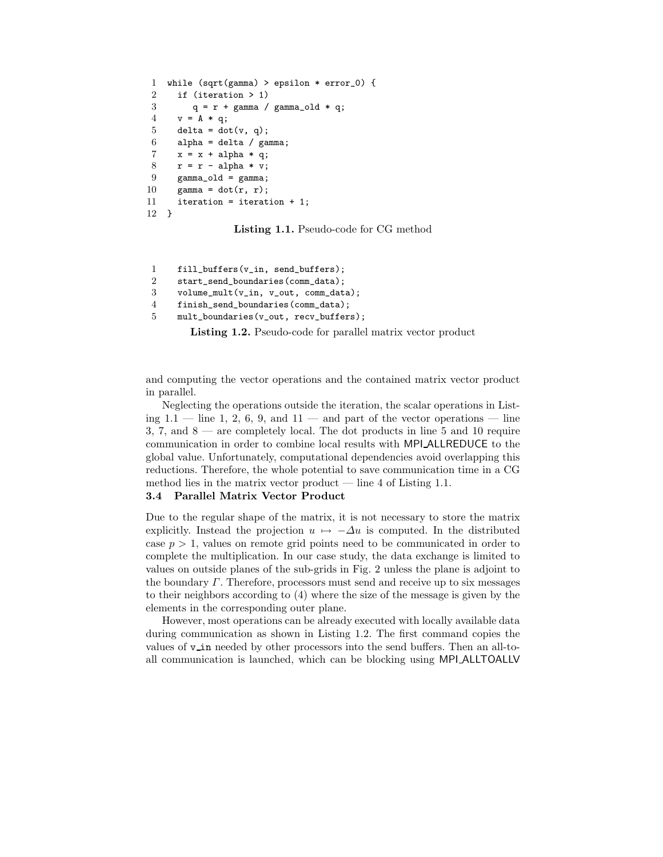```
1 while (sqrt(gamma) > epsilon * error_0) {
2 if (iteration > 1)
3 q = r + gamma / gamma_old * q;
4 \quad v = A * q;5 delta = dot(v, q);
6 alpha = delta / gamma;
7 x = x + alpha * q;
8 r = r - alpha * v;9 gamma_old = gamma;
10 gamma = dot(r, r);
11 iteration = iteration + 1;
12 }
```
Listing 1.1. Pseudo-code for CG method

```
1 fill_buffers(v_in, send_buffers);
2 start_send_boundaries(comm_data);
3 volume_mult(v_in, v_out, comm_data);
4 finish_send_boundaries(comm_data);
5 mult_boundaries(v_out, recv_buffers);
```
Listing 1.2. Pseudo-code for parallel matrix vector product

and computing the vector operations and the contained matrix vector product in parallel.

Neglecting the operations outside the iteration, the scalar operations in Listing  $1.1$  — line 1, 2, 6, 9, and  $11$  — and part of the vector operations — line 3, 7, and 8 — are completely local. The dot products in line 5 and 10 require communication in order to combine local results with MPI ALLREDUCE to the global value. Unfortunately, computational dependencies avoid overlapping this reductions. Therefore, the whole potential to save communication time in a CG method lies in the matrix vector product  $-$  line 4 of Listing 1.1.

#### 3.4 Parallel Matrix Vector Product

Due to the regular shape of the matrix, it is not necessary to store the matrix explicitly. Instead the projection  $u \mapsto -\Delta u$  is computed. In the distributed case  $p > 1$ , values on remote grid points need to be communicated in order to complete the multiplication. In our case study, the data exchange is limited to values on outside planes of the sub-grids in Fig. 2 unless the plane is adjoint to the boundary  $\Gamma$ . Therefore, processors must send and receive up to six messages to their neighbors according to (4) where the size of the message is given by the elements in the corresponding outer plane.

However, most operations can be already executed with locally available data during communication as shown in Listing 1.2. The first command copies the values of v<sub>in</sub> needed by other processors into the send buffers. Then an all-toall communication is launched, which can be blocking using MPI ALLTOALLV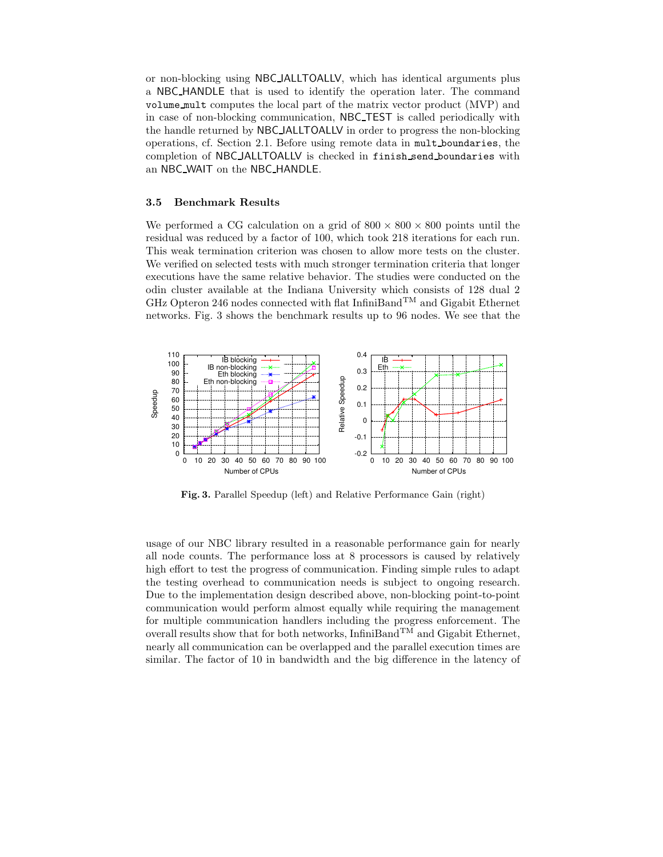or non-blocking using NBC IALLTOALLV, which has identical arguments plus a NBC HANDLE that is used to identify the operation later. The command volume mult computes the local part of the matrix vector product (MVP) and in case of non-blocking communication, NBC TEST is called periodically with the handle returned by NBC IALLTOALLV in order to progress the non-blocking operations, cf. Section 2.1. Before using remote data in mult boundaries, the completion of NBC IALLTOALLV is checked in finish send boundaries with an NBC WAIT on the NBC HANDLE.

#### 3.5 Benchmark Results

We performed a CG calculation on a grid of  $800 \times 800 \times 800$  points until the residual was reduced by a factor of 100, which took 218 iterations for each run. This weak termination criterion was chosen to allow more tests on the cluster. We verified on selected tests with much stronger termination criteria that longer executions have the same relative behavior. The studies were conducted on the odin cluster available at the Indiana University which consists of 128 dual 2 GHz Opteron 246 nodes connected with flat InfiniBand<sup>TM</sup> and Gigabit Ethernet networks. Fig. 3 shows the benchmark results up to 96 nodes. We see that the



Fig. 3. Parallel Speedup (left) and Relative Performance Gain (right)

usage of our NBC library resulted in a reasonable performance gain for nearly all node counts. The performance loss at 8 processors is caused by relatively high effort to test the progress of communication. Finding simple rules to adapt the testing overhead to communication needs is subject to ongoing research. Due to the implementation design described above, non-blocking point-to-point communication would perform almost equally while requiring the management for multiple communication handlers including the progress enforcement. The overall results show that for both networks, InfiniBand<sup>TM</sup> and Gigabit Ethernet, nearly all communication can be overlapped and the parallel execution times are similar. The factor of 10 in bandwidth and the big difference in the latency of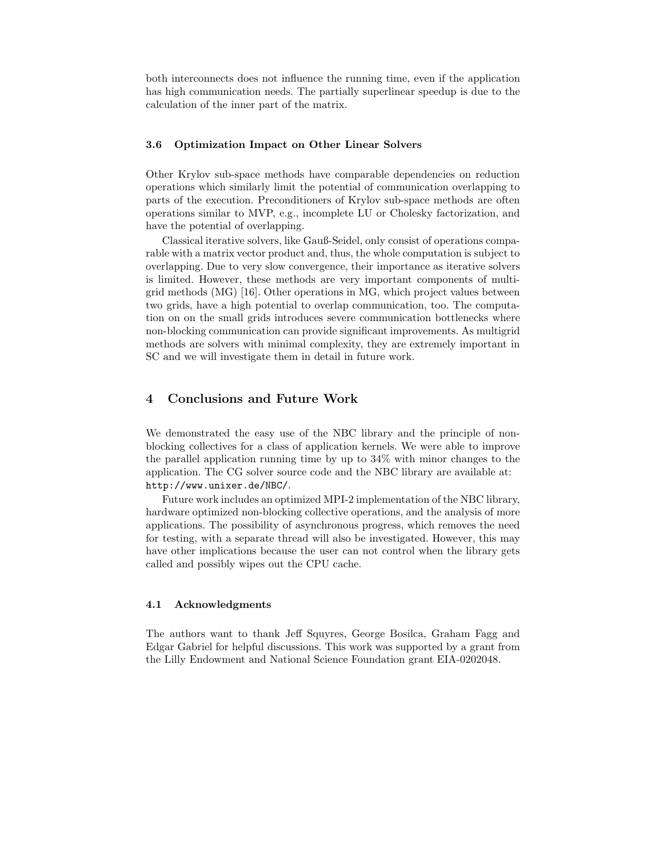both interconnects does not influence the running time, even if the application has high communication needs. The partially superlinear speedup is due to the calculation of the inner part of the matrix.

#### 3.6 Optimization Impact on Other Linear Solvers

Other Krylov sub-space methods have comparable dependencies on reduction operations which similarly limit the potential of communication overlapping to parts of the execution. Preconditioners of Krylov sub-space methods are often operations similar to MVP, e.g., incomplete LU or Cholesky factorization, and have the potential of overlapping.

Classical iterative solvers, like Gauß-Seidel, only consist of operations comparable with a matrix vector product and, thus, the whole computation is subject to overlapping. Due to very slow convergence, their importance as iterative solvers is limited. However, these methods are very important components of multigrid methods (MG) [16]. Other operations in MG, which project values between two grids, have a high potential to overlap communication, too. The computation on on the small grids introduces severe communication bottlenecks where non-blocking communication can provide significant improvements. As multigrid methods are solvers with minimal complexity, they are extremely important in SC and we will investigate them in detail in future work.

## 4 Conclusions and Future Work

We demonstrated the easy use of the NBC library and the principle of nonblocking collectives for a class of application kernels. We were able to improve the parallel application running time by up to 34% with minor changes to the application. The CG solver source code and the NBC library are available at: http://www.unixer.de/NBC/.

Future work includes an optimized MPI-2 implementation of the NBC library, hardware optimized non-blocking collective operations, and the analysis of more applications. The possibility of asynchronous progress, which removes the need for testing, with a separate thread will also be investigated. However, this may have other implications because the user can not control when the library gets called and possibly wipes out the CPU cache.

#### 4.1 Acknowledgments

The authors want to thank Jeff Squyres, George Bosilca, Graham Fagg and Edgar Gabriel for helpful discussions. This work was supported by a grant from the Lilly Endowment and National Science Foundation grant EIA-0202048.